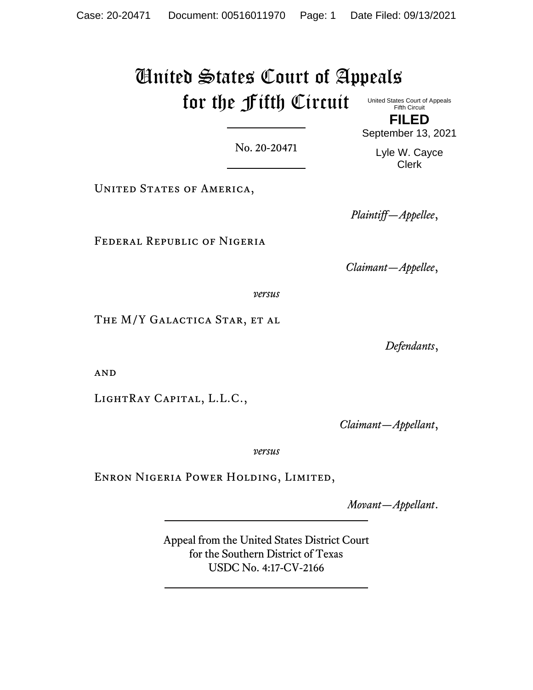## United States Court of Appeals for the Fifth Circuit United States Court of Appeals Fifth Circuit

**FILED** September 13, 2021

No. 20-20471

UNITED STATES OF AMERICA,

Federal Republic of Nigeria

*Claimant—Appellee*,

*versus*

THE M/Y GALACTICA STAR, ET AL

*Defendants*,

**AND** 

LightRay Capital, L.L.C.,

*Claimant—Appellant*,

*versus*

Enron Nigeria Power Holding, Limited,

*Movant—Appellant*.

Appeal from the United States District Court for the Southern District of Texas USDC No. 4:17-CV-2166

Lyle W. Cayce

Clerk

*Plaintiff—Appellee*,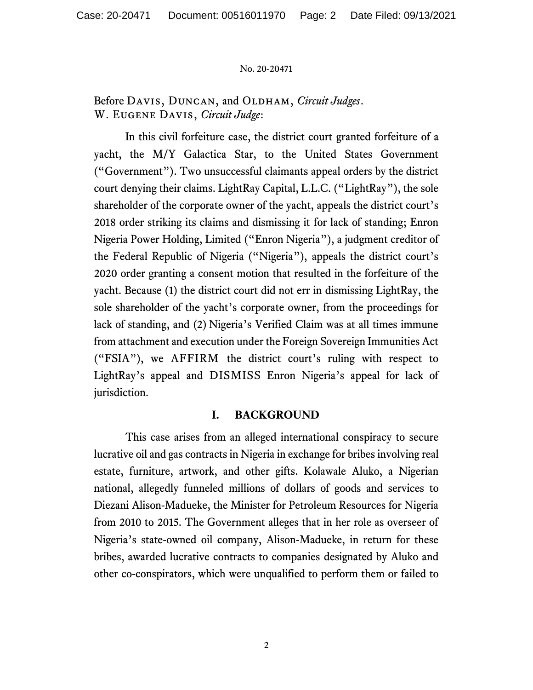Before DAVIS, DUNCAN, and OLDHAM, *Circuit Judges*. W. Eugene Davis, *Circuit Judge*:

In this civil forfeiture case, the district court granted forfeiture of a yacht, the M/Y Galactica Star, to the United States Government ("Government"). Two unsuccessful claimants appeal orders by the district court denying their claims. LightRay Capital, L.L.C. ("LightRay"), the sole shareholder of the corporate owner of the yacht, appeals the district court's 2018 order striking its claims and dismissing it for lack of standing; Enron Nigeria Power Holding, Limited ("Enron Nigeria"), a judgment creditor of the Federal Republic of Nigeria ("Nigeria"), appeals the district court's 2020 order granting a consent motion that resulted in the forfeiture of the yacht. Because (1) the district court did not err in dismissing LightRay, the sole shareholder of the yacht's corporate owner, from the proceedings for lack of standing, and (2) Nigeria's Verified Claim was at all times immune from attachment and execution under the Foreign Sovereign Immunities Act ("FSIA"), we AFFIRM the district court's ruling with respect to LightRay's appeal and DISMISS Enron Nigeria's appeal for lack of jurisdiction.

### **I. BACKGROUND**

This case arises from an alleged international conspiracy to secure lucrative oil and gas contracts in Nigeria in exchange for bribes involving real estate, furniture, artwork, and other gifts. Kolawale Aluko, a Nigerian national, allegedly funneled millions of dollars of goods and services to Diezani Alison-Madueke, the Minister for Petroleum Resources for Nigeria from 2010 to 2015. The Government alleges that in her role as overseer of Nigeria's state-owned oil company, Alison-Madueke, in return for these bribes, awarded lucrative contracts to companies designated by Aluko and other co-conspirators, which were unqualified to perform them or failed to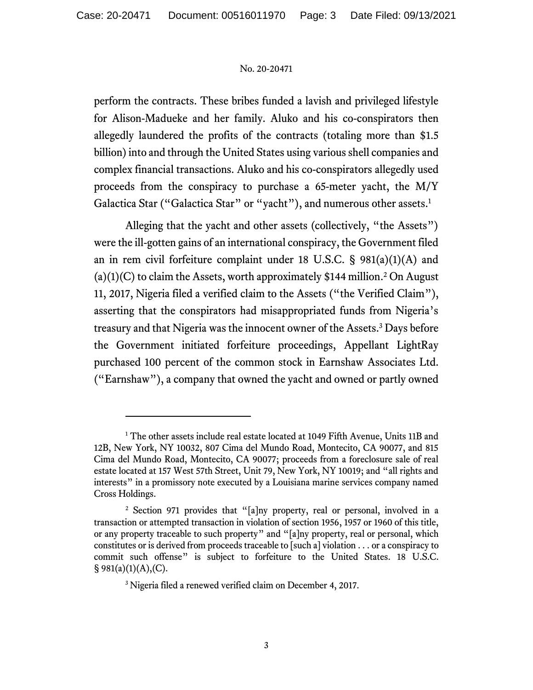perform the contracts. These bribes funded a lavish and privileged lifestyle for Alison-Madueke and her family. Aluko and his co-conspirators then allegedly laundered the profits of the contracts (totaling more than \$1.5 billion) into and through the United States using various shell companies and complex financial transactions. Aluko and his co-conspirators allegedly used proceeds from the conspiracy to purchase a 65-meter yacht, the M/Y Galactica Star ("Galactica Star" or "yacht"), and numerous other assets.<sup>1</sup>

Alleging that the yacht and other assets (collectively, "the Assets") were the ill-gotten gains of an international conspiracy, the Government filed an in rem civil forfeiture complaint under 18 U.S.C.  $\S$  981(a)(1)(A) and  $(a)(1)(C)$  to claim the Assets, worth approximately \$144 million.<sup>2</sup> On August 11, 2017, Nigeria filed a verified claim to the Assets ("the Verified Claim"), asserting that the conspirators had misappropriated funds from Nigeria's treasury and that Nigeria was the innocent owner of the Assets. <sup>3</sup> Days before the Government initiated forfeiture proceedings, Appellant LightRay purchased 100 percent of the common stock in Earnshaw Associates Ltd. ("Earnshaw"), a company that owned the yacht and owned or partly owned

<sup>&</sup>lt;sup>1</sup> The other assets include real estate located at 1049 Fifth Avenue, Units 11B and 12B, New York, NY 10032, 807 Cima del Mundo Road, Montecito, CA 90077, and 815 Cima del Mundo Road, Montecito, CA 90077; proceeds from a foreclosure sale of real estate located at 157 West 57th Street, Unit 79, New York, NY 10019; and "all rights and interests" in a promissory note executed by a Louisiana marine services company named Cross Holdings.

<sup>2</sup> Section 971 provides that "[a]ny property, real or personal, involved in a transaction or attempted transaction in violation of section 1956, 1957 or 1960 of this title, or any property traceable to such property" and "[a]ny property, real or personal, which constitutes or is derived from proceeds traceable to [such a] violation . . . or a conspiracy to commit such offense" is subject to forfeiture to the United States. 18 U.S.C.  $§ 981(a)(1)(A),(C).$ 

<sup>&</sup>lt;sup>3</sup> Nigeria filed a renewed verified claim on December 4, 2017.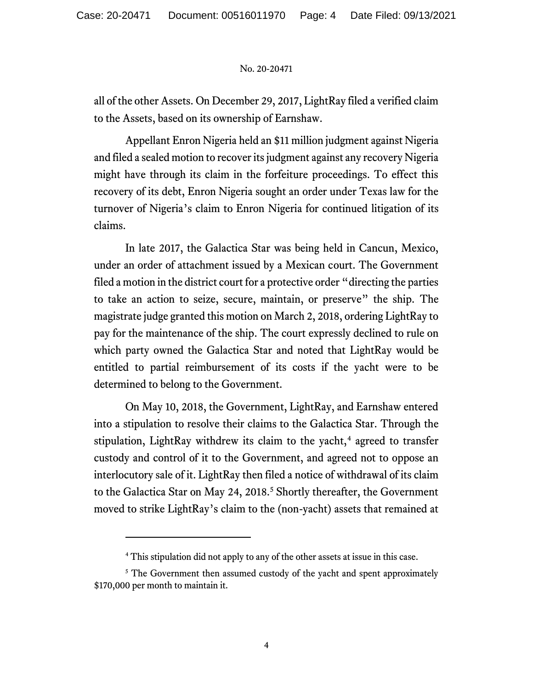all of the other Assets. On December 29, 2017, LightRay filed a verified claim to the Assets, based on its ownership of Earnshaw.

Appellant Enron Nigeria held an \$11 million judgment against Nigeria and filed a sealed motion to recoverits judgment against any recovery Nigeria might have through its claim in the forfeiture proceedings. To effect this recovery of its debt, Enron Nigeria sought an order under Texas law for the turnover of Nigeria's claim to Enron Nigeria for continued litigation of its claims.

In late 2017, the Galactica Star was being held in Cancun, Mexico, under an order of attachment issued by a Mexican court. The Government filed a motion in the district court for a protective order "directing the parties to take an action to seize, secure, maintain, or preserve" the ship. The magistrate judge granted this motion on March 2, 2018, ordering LightRay to pay for the maintenance of the ship. The court expressly declined to rule on which party owned the Galactica Star and noted that LightRay would be entitled to partial reimbursement of its costs if the yacht were to be determined to belong to the Government.

On May 10, 2018, the Government, LightRay, and Earnshaw entered into a stipulation to resolve their claims to the Galactica Star. Through the stipulation, LightRay withdrew its claim to the yacht,<sup>4</sup> agreed to transfer custody and control of it to the Government, and agreed not to oppose an interlocutory sale of it. LightRay then filed a notice of withdrawal of its claim to the Galactica Star on May 24, 2018.<sup>5</sup> Shortly thereafter, the Government moved to strike LightRay's claim to the (non-yacht) assets that remained at

<sup>4</sup> This stipulation did not apply to any of the other assets at issue in this case.

<sup>&</sup>lt;sup>5</sup> The Government then assumed custody of the yacht and spent approximately \$170,000 per month to maintain it.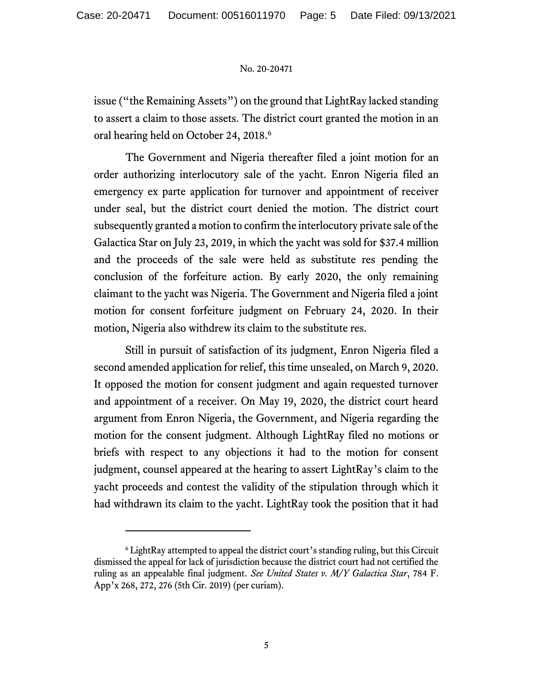issue ("the Remaining Assets") on the ground that LightRay lacked standing to assert a claim to those assets. The district court granted the motion in an oral hearing held on October 24, 2018. 6

The Government and Nigeria thereafter filed a joint motion for an order authorizing interlocutory sale of the yacht. Enron Nigeria filed an emergency ex parte application for turnover and appointment of receiver under seal, but the district court denied the motion. The district court subsequently granted a motion to confirm the interlocutory private sale of the Galactica Star on July 23, 2019, in which the yacht was sold for \$37.4 million and the proceeds of the sale were held as substitute res pending the conclusion of the forfeiture action. By early 2020, the only remaining claimant to the yacht was Nigeria. The Government and Nigeria filed a joint motion for consent forfeiture judgment on February 24, 2020. In their motion, Nigeria also withdrew its claim to the substitute res.

Still in pursuit of satisfaction of its judgment, Enron Nigeria filed a second amended application for relief, this time unsealed, on March 9, 2020. It opposed the motion for consent judgment and again requested turnover and appointment of a receiver. On May 19, 2020, the district court heard argument from Enron Nigeria, the Government, and Nigeria regarding the motion for the consent judgment. Although LightRay filed no motions or briefs with respect to any objections it had to the motion for consent judgment, counsel appeared at the hearing to assert LightRay's claim to the yacht proceeds and contest the validity of the stipulation through which it had withdrawn its claim to the yacht. LightRay took the position that it had

<sup>6</sup> LightRay attempted to appeal the district court's standing ruling, but this Circuit dismissed the appeal for lack of jurisdiction because the district court had not certified the ruling as an appealable final judgment. *See United States v. M/Y Galactica Star*, 784 F. App'x 268, 272, 276 (5th Cir. 2019) (per curiam).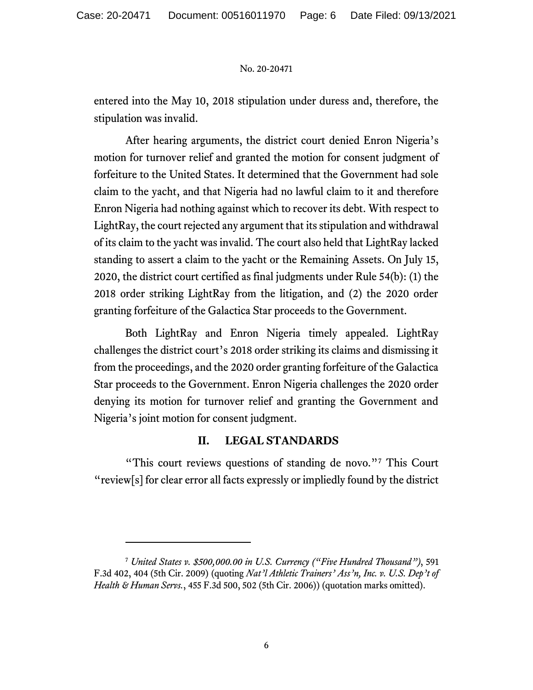entered into the May 10, 2018 stipulation under duress and, therefore, the stipulation was invalid.

After hearing arguments, the district court denied Enron Nigeria's motion for turnover relief and granted the motion for consent judgment of forfeiture to the United States. It determined that the Government had sole claim to the yacht, and that Nigeria had no lawful claim to it and therefore Enron Nigeria had nothing against which to recover its debt. With respect to LightRay, the court rejected any argument that its stipulation and withdrawal of its claim to the yacht was invalid. The court also held that LightRay lacked standing to assert a claim to the yacht or the Remaining Assets. On July 15, 2020, the district court certified as final judgments under Rule 54(b): (1) the 2018 order striking LightRay from the litigation, and (2) the 2020 order granting forfeiture of the Galactica Star proceeds to the Government.

Both LightRay and Enron Nigeria timely appealed. LightRay challenges the district court's 2018 order striking its claims and dismissing it from the proceedings, and the 2020 order granting forfeiture of the Galactica Star proceeds to the Government. Enron Nigeria challenges the 2020 order denying its motion for turnover relief and granting the Government and Nigeria's joint motion for consent judgment.

## **II. LEGAL STANDARDS**

"This court reviews questions of standing de novo."<sup>7</sup> This Court "review[s] for clear error all facts expressly or impliedly found by the district

<sup>7</sup> *United States v. \$500,000.00 in U.S. Currency ("Five Hundred Thousand")*, 591 F.3d 402, 404 (5th Cir. 2009) (quoting *Nat'l Athletic Trainers' Ass'n, Inc. v. U.S. Dep't of Health & Human Servs.*, 455 F.3d 500, 502 (5th Cir. 2006)) (quotation marks omitted).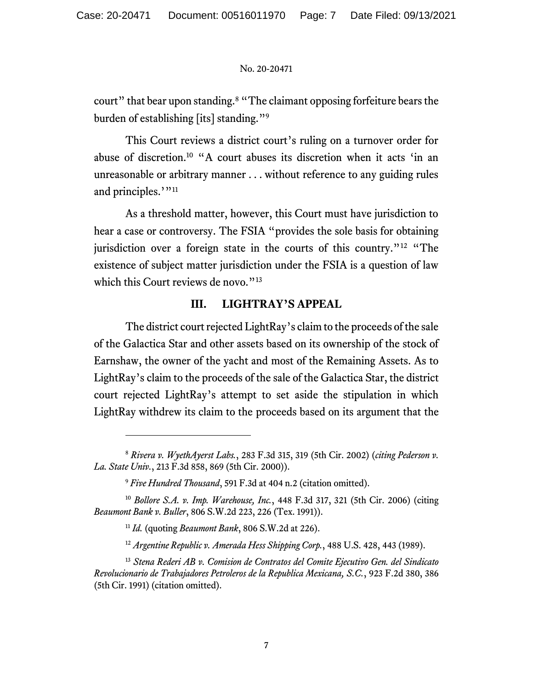court" that bear upon standing.<sup>8</sup> "The claimant opposing forfeiture bears the burden of establishing [its] standing."<sup>9</sup>

This Court reviews a district court's ruling on a turnover order for abuse of discretion.<sup>10</sup> "A court abuses its discretion when it acts 'in an unreasonable or arbitrary manner . . . without reference to any guiding rules and principles.'"<sup>11</sup>

As a threshold matter, however, this Court must have jurisdiction to hear a case or controversy. The FSIA "provides the sole basis for obtaining jurisdiction over a foreign state in the courts of this country."<sup>12</sup> "The existence of subject matter jurisdiction under the FSIA is a question of law which this Court reviews de novo."<sup>13</sup>

### **III. LIGHTRAY'S APPEAL**

The district court rejected LightRay's claim to the proceeds of the sale of the Galactica Star and other assets based on its ownership of the stock of Earnshaw, the owner of the yacht and most of the Remaining Assets. As to LightRay's claim to the proceeds of the sale of the Galactica Star, the district court rejected LightRay's attempt to set aside the stipulation in which LightRay withdrew its claim to the proceeds based on its argument that the

<sup>8</sup> *Rivera v. WyethAyerst Labs.*, 283 F.3d 315, 319 (5th Cir. 2002) (*citing Pederson v. La. State Univ.*, 213 F.3d 858, 869 (5th Cir. 2000)).

<sup>9</sup> *Five Hundred Thousand*, 591 F.3d at 404 n.2 (citation omitted).

<sup>10</sup> *Bollore S.A. v. Imp. Warehouse, Inc.*, 448 F.3d 317, 321 (5th Cir. 2006) (citing *Beaumont Bank v. Buller*, 806 S.W.2d 223, 226 (Tex. 1991)).

<sup>11</sup> *Id.* (quoting *Beaumont Bank*, 806 S.W.2d at 226).

<sup>12</sup> *Argentine Republic v. Amerada Hess Shipping Corp.*, 488 U.S. 428, 443 (1989).

<sup>13</sup> *Stena Rederi AB v. Comision de Contratos del Comite Ejecutivo Gen. del Sindicato Revolucionario de Trabajadores Petroleros de la Republica Mexicana, S.C.*, 923 F.2d 380, 386 (5th Cir. 1991) (citation omitted).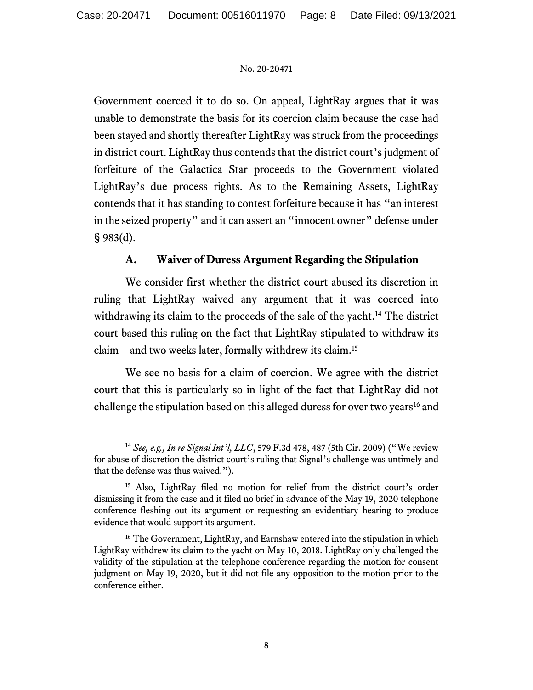Government coerced it to do so. On appeal, LightRay argues that it was unable to demonstrate the basis for its coercion claim because the case had been stayed and shortly thereafter LightRay was struck from the proceedings in district court. LightRay thus contends that the district court's judgment of forfeiture of the Galactica Star proceeds to the Government violated LightRay's due process rights. As to the Remaining Assets, LightRay contends that it has standing to contest forfeiture because it has "an interest in the seized property" and it can assert an "innocent owner" defense under § 983(d).

# **A. Waiver of Duress Argument Regarding the Stipulation**

We consider first whether the district court abused its discretion in ruling that LightRay waived any argument that it was coerced into withdrawing its claim to the proceeds of the sale of the yacht.<sup>14</sup> The district court based this ruling on the fact that LightRay stipulated to withdraw its claim—and two weeks later, formally withdrew its claim. 15

We see no basis for a claim of coercion. We agree with the district court that this is particularly so in light of the fact that LightRay did not challenge the stipulation based on this alleged duress for over two years<sup>16</sup> and

<sup>14</sup> *See, e.g., In re Signal Int'l, LLC*, 579 F.3d 478, 487 (5th Cir. 2009) ("We review for abuse of discretion the district court's ruling that Signal's challenge was untimely and that the defense was thus waived.").

<sup>&</sup>lt;sup>15</sup> Also, LightRay filed no motion for relief from the district court's order dismissing it from the case and it filed no brief in advance of the May 19, 2020 telephone conference fleshing out its argument or requesting an evidentiary hearing to produce evidence that would support its argument.

<sup>&</sup>lt;sup>16</sup> The Government, LightRay, and Earnshaw entered into the stipulation in which LightRay withdrew its claim to the yacht on May 10, 2018. LightRay only challenged the validity of the stipulation at the telephone conference regarding the motion for consent judgment on May 19, 2020, but it did not file any opposition to the motion prior to the conference either.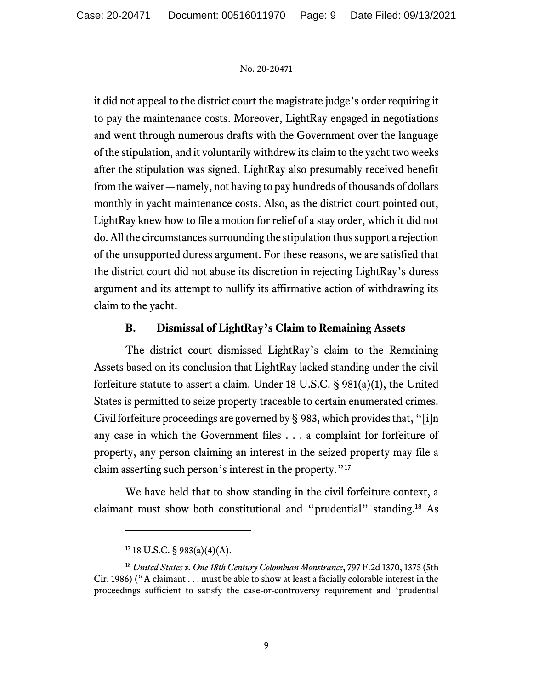it did not appeal to the district court the magistrate judge's order requiring it to pay the maintenance costs. Moreover, LightRay engaged in negotiations and went through numerous drafts with the Government over the language of the stipulation, and it voluntarily withdrew its claim to the yacht two weeks after the stipulation was signed. LightRay also presumably received benefit from the waiver—namely, not having to pay hundreds of thousands of dollars monthly in yacht maintenance costs. Also, as the district court pointed out, LightRay knew how to file a motion for relief of a stay order, which it did not do.All the circumstances surrounding the stipulation thus support a rejection of the unsupported duress argument. For these reasons, we are satisfied that the district court did not abuse its discretion in rejecting LightRay's duress argument and its attempt to nullify its affirmative action of withdrawing its claim to the yacht.

## **B. Dismissal of LightRay's Claim to Remaining Assets**

The district court dismissed LightRay's claim to the Remaining Assets based on its conclusion that LightRay lacked standing under the civil forfeiture statute to assert a claim. Under 18 U.S.C. § 981(a)(1), the United States is permitted to seize property traceable to certain enumerated crimes. Civil forfeiture proceedings are governed by § 983, which provides that, "[i]n any case in which the Government files . . . a complaint for forfeiture of property, any person claiming an interest in the seized property may file a claim asserting such person's interest in the property."<sup>17</sup>

We have held that to show standing in the civil forfeiture context, a claimant must show both constitutional and "prudential" standing.<sup>18</sup> As

 $17$  18 U.S.C. § 983(a)(4)(A).

<sup>18</sup> *United States v. One 18th Century Colombian Monstrance*, 797 F.2d 1370, 1375 (5th Cir. 1986) ("A claimant . . . must be able to show at least a facially colorable interest in the proceedings sufficient to satisfy the case-or-controversy requirement and 'prudential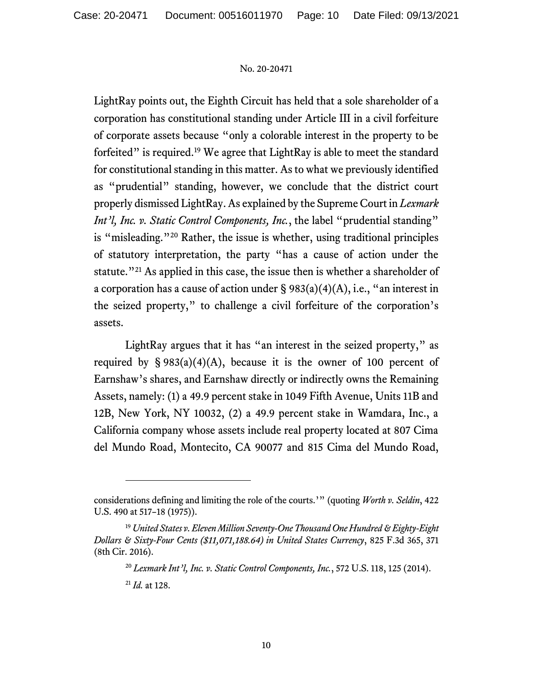LightRay points out, the Eighth Circuit has held that a sole shareholder of a corporation has constitutional standing under Article III in a civil forfeiture of corporate assets because "only a colorable interest in the property to be forfeited" is required.<sup>19</sup> We agree that LightRay is able to meet the standard for constitutional standing in this matter. As to what we previously identified as "prudential" standing, however, we conclude that the district court properly dismissed LightRay.As explained by the Supreme Court in *Lexmark Int'l, Inc. v. Static Control Components, Inc., the label* "prudential standing" is "misleading."<sup>20</sup> Rather, the issue is whether, using traditional principles of statutory interpretation, the party "has a cause of action under the statute.<sup>"21</sup> As applied in this case, the issue then is whether a shareholder of a corporation has a cause of action under  $\S 983(a)(4)(A)$ , i.e., "an interest in the seized property," to challenge a civil forfeiture of the corporation's assets.

LightRay argues that it has "an interest in the seized property," as required by  $\S 983(a)(4)(A)$ , because it is the owner of 100 percent of Earnshaw's shares, and Earnshaw directly or indirectly owns the Remaining Assets, namely: (1) a 49.9 percent stake in 1049 Fifth Avenue, Units 11B and 12B, New York, NY 10032, (2) a 49.9 percent stake in Wamdara, Inc., a California company whose assets include real property located at 807 Cima del Mundo Road, Montecito, CA 90077 and 815 Cima del Mundo Road,

considerations defining and limiting the role of the courts.'" (quoting *Worth v. Seldin*, 422 U.S. 490 at 517–18 (1975)).

<sup>19</sup> *United States v. Eleven Million Seventy-One Thousand One Hundred & Eighty-Eight Dollars & Sixty-Four Cents (\$11,071,188.64) in United States Currency*, 825 F.3d 365, 371 (8th Cir. 2016).

<sup>20</sup> *Lexmark Int'l, Inc. v. Static Control Components, Inc.*, 572 U.S. 118, 125 (2014).

<sup>21</sup> *Id.* at 128.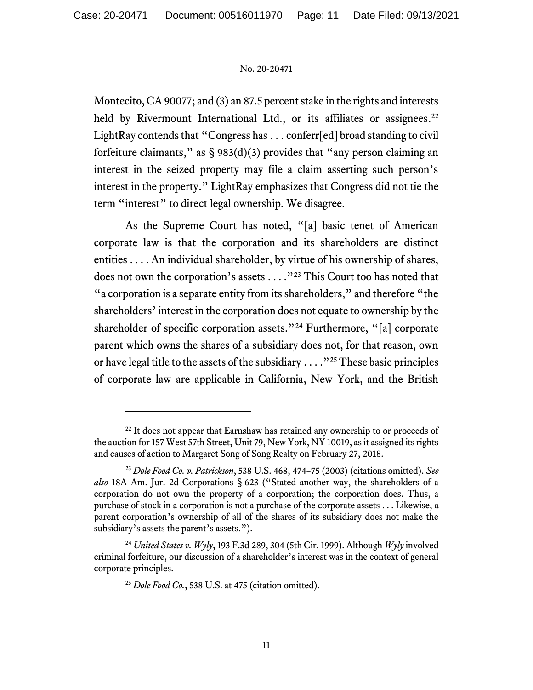Montecito, CA 90077; and (3) an 87.5 percent stake in the rights and interests held by Rivermount International Ltd., or its affiliates or assignees.<sup>22</sup> LightRay contends that "Congress has . . . conferr[ed] broad standing to civil forfeiture claimants," as  $\S 983(d)(3)$  provides that "any person claiming an interest in the seized property may file a claim asserting such person's interest in the property." LightRay emphasizes that Congress did not tie the term "interest" to direct legal ownership. We disagree.

As the Supreme Court has noted, "[a] basic tenet of American corporate law is that the corporation and its shareholders are distinct entities . . . . An individual shareholder, by virtue of his ownership of shares, does not own the corporation's assets . . . ."<sup>23</sup> This Court too has noted that "a corporation is a separate entity from its shareholders," and therefore "the shareholders' interest in the corporation does not equate to ownership by the shareholder of specific corporation assets."<sup>24</sup> Furthermore, "[a] corporate parent which owns the shares of a subsidiary does not, for that reason, own or have legal title to the assets of the subsidiary . . . ."<sup>25</sup> These basic principles of corporate law are applicable in California, New York, and the British

 $22$  It does not appear that Earnshaw has retained any ownership to or proceeds of the auction for 157 West 57th Street, Unit 79, New York, NY 10019, as it assigned its rights and causes of action to Margaret Song of Song Realty on February 27, 2018.

<sup>23</sup> *Dole Food Co. v. Patrickson*, 538 U.S. 468, 474–75 (2003) (citations omitted). *See also* 18A Am. Jur. 2d Corporations § 623 ("Stated another way, the shareholders of a corporation do not own the property of a corporation; the corporation does. Thus, a purchase of stock in a corporation is not a purchase of the corporate assets . . . Likewise, a parent corporation's ownership of all of the shares of its subsidiary does not make the subsidiary's assets the parent's assets.").

<sup>24</sup> *United States v. Wyly*, 193 F.3d 289, 304 (5th Cir. 1999). Although *Wyly* involved criminal forfeiture, our discussion of a shareholder's interest was in the context of general corporate principles.

<sup>25</sup> *Dole Food Co.*, 538 U.S. at 475 (citation omitted).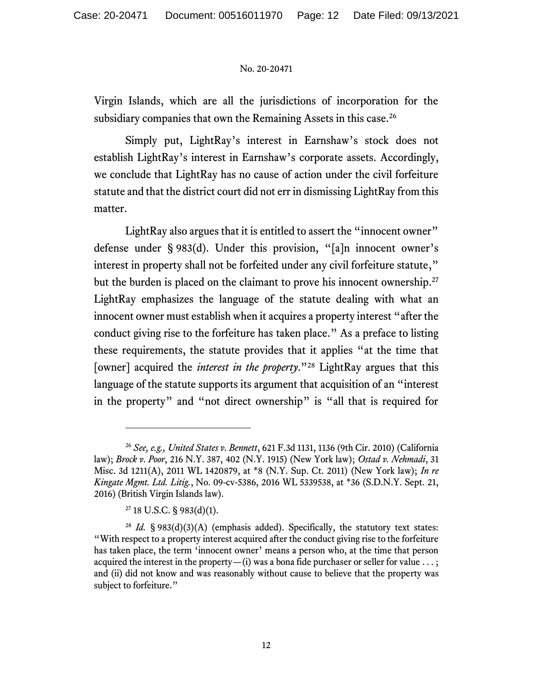Virgin Islands, which are all the jurisdictions of incorporation for the subsidiary companies that own the Remaining Assets in this case.<sup>26</sup>

Simply put, LightRay's interest in Earnshaw's stock does not establish LightRay's interest in Earnshaw's corporate assets. Accordingly, we conclude that LightRay has no cause of action under the civil forfeiture statute and that the district court did not err in dismissing LightRay from this matter.

LightRay also argues that it is entitled to assert the "innocent owner" defense under § 983(d). Under this provision, "[a]n innocent owner's interest in property shall not be forfeited under any civil forfeiture statute," but the burden is placed on the claimant to prove his innocent ownership.<sup>27</sup> LightRay emphasizes the language of the statute dealing with what an innocent owner must establish when it acquires a property interest "after the conduct giving rise to the forfeiture has taken place." As a preface to listing these requirements, the statute provides that it applies "at the time that [owner] acquired the *interest in the property*."<sup>28</sup> LightRay argues that this language of the statute supports its argument that acquisition of an "interest in the property" and "not direct ownership" is "all that is required for

<sup>26</sup> *See, e.g., United States v. Bennett*, 621 F.3d 1131, 1136 (9th Cir. 2010) (California law); *Brock v. Poor*, 216 N.Y. 387, 402 (N.Y. 1915) (New York law); *Ostad v. Nehmadi*, 31 Misc. 3d 1211(A), 2011 WL 1420879, at \*8 (N.Y. Sup. Ct. 2011) (New York law); *In re Kingate Mgmt. Ltd. Litig.*, No. 09-cv-5386, 2016 WL 5339538, at \*36 (S.D.N.Y. Sept. 21, 2016) (British Virgin Islands law).

 $27$  18 U.S.C. § 983(d)(1).

<sup>&</sup>lt;sup>28</sup> *Id.* § 983(d)(3)(A) (emphasis added). Specifically, the statutory text states: "With respect to a property interest acquired after the conduct giving rise to the forfeiture has taken place, the term 'innocent owner' means a person who, at the time that person acquired the interest in the property  $-(i)$  was a bona fide purchaser or seller for value  $\dots$ ; and (ii) did not know and was reasonably without cause to believe that the property was subject to forfeiture."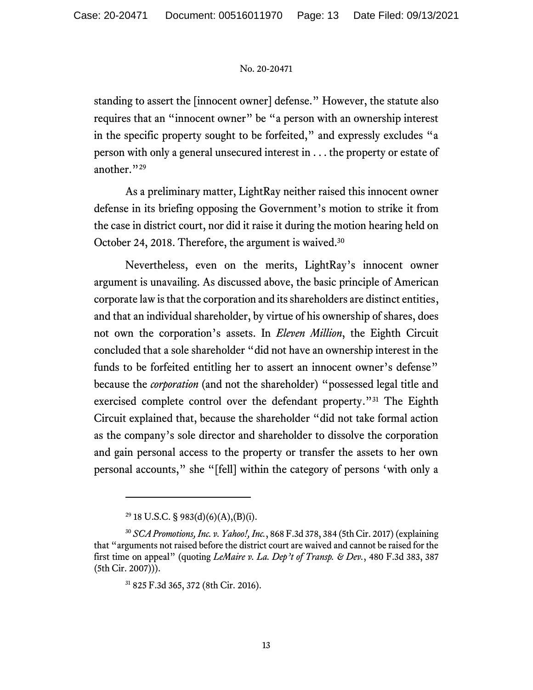standing to assert the [innocent owner] defense." However, the statute also requires that an "innocent owner" be "a person with an ownership interest in the specific property sought to be forfeited," and expressly excludes "a person with only a general unsecured interest in . . . the property or estate of another."<sup>29</sup>

As a preliminary matter, LightRay neither raised this innocent owner defense in its briefing opposing the Government's motion to strike it from the case in district court, nor did it raise it during the motion hearing held on October 24, 2018. Therefore, the argument is waived.<sup>30</sup>

Nevertheless, even on the merits, LightRay's innocent owner argument is unavailing. As discussed above, the basic principle of American corporate law is that the corporation and its shareholders are distinct entities, and that an individual shareholder, by virtue of his ownership of shares, does not own the corporation's assets. In *Eleven Million*, the Eighth Circuit concluded that a sole shareholder "did not have an ownership interest in the funds to be forfeited entitling her to assert an innocent owner's defense" because the *corporation* (and not the shareholder) "possessed legal title and exercised complete control over the defendant property."<sup>31</sup> The Eighth Circuit explained that, because the shareholder "did not take formal action as the company's sole director and shareholder to dissolve the corporation and gain personal access to the property or transfer the assets to her own personal accounts," she "[fell] within the category of persons 'with only a

<sup>&</sup>lt;sup>29</sup> 18 U.S.C. § 983(d)(6)(A),(B)(i).

<sup>30</sup> *SCA Promotions, Inc. v. Yahoo!, Inc.*, 868 F.3d 378, 384 (5th Cir. 2017) (explaining that "arguments not raised before the district court are waived and cannot be raised for the first time on appeal" (quoting *LeMaire v. La. Dep't of Transp. & Dev.*, 480 F.3d 383, 387 (5th Cir. 2007))).

<sup>31</sup> 825 F.3d 365, 372 (8th Cir. 2016).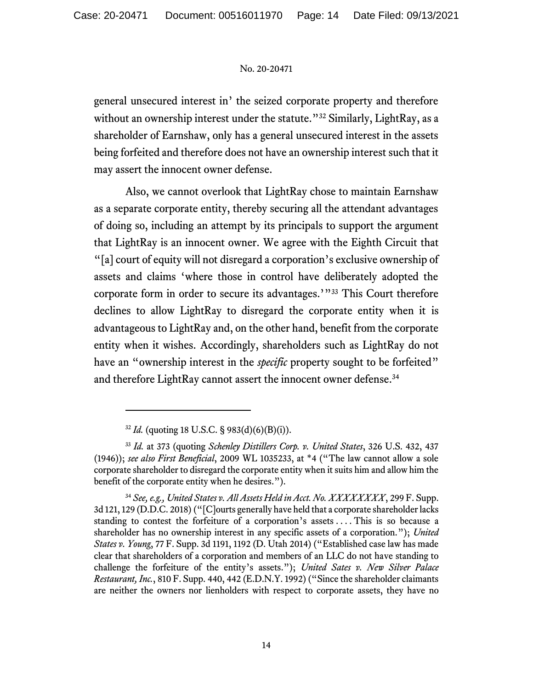general unsecured interest in' the seized corporate property and therefore without an ownership interest under the statute."<sup>32</sup> Similarly, LightRay, as a shareholder of Earnshaw, only has a general unsecured interest in the assets being forfeited and therefore does not have an ownership interest such that it may assert the innocent owner defense.

Also, we cannot overlook that LightRay chose to maintain Earnshaw as a separate corporate entity, thereby securing all the attendant advantages of doing so, including an attempt by its principals to support the argument that LightRay is an innocent owner. We agree with the Eighth Circuit that "[a] court of equity will not disregard a corporation's exclusive ownership of assets and claims 'where those in control have deliberately adopted the corporate form in order to secure its advantages.'"<sup>33</sup> This Court therefore declines to allow LightRay to disregard the corporate entity when it is advantageous to LightRay and, on the other hand, benefit from the corporate entity when it wishes. Accordingly, shareholders such as LightRay do not have an "ownership interest in the *specific* property sought to be forfeited" and therefore LightRay cannot assert the innocent owner defense. 34

<sup>34</sup> *See, e.g., United States v. All Assets Held in Acct. No. XXXXXXXX*, 299 F. Supp. 3d 121, 129 (D.D.C. 2018)("[C]ourts generally have held that a corporate shareholder lacks standing to contest the forfeiture of a corporation's assets . . . . This is so because a shareholder has no ownership interest in any specific assets of a corporation."); *United States v. Young*, 77 F. Supp. 3d 1191, 1192 (D. Utah 2014) ("Established case law has made clear that shareholders of a corporation and members of an LLC do not have standing to challenge the forfeiture of the entity's assets."); *United Sates v. New Silver Palace Restaurant, Inc.*, 810 F. Supp. 440, 442 (E.D.N.Y. 1992) ("Since the shareholder claimants are neither the owners nor lienholders with respect to corporate assets, they have no

 $32$  *Id.* (quoting 18 U.S.C. § 983(d)(6)(B)(i)).

<sup>33</sup> *Id.* at 373 (quoting *Schenley Distillers Corp. v. United States*, 326 U.S. 432, 437 (1946)); *see also First Beneficial*, 2009 WL 1035233, at \*4 ("The law cannot allow a sole corporate shareholder to disregard the corporate entity when it suits him and allow him the benefit of the corporate entity when he desires.").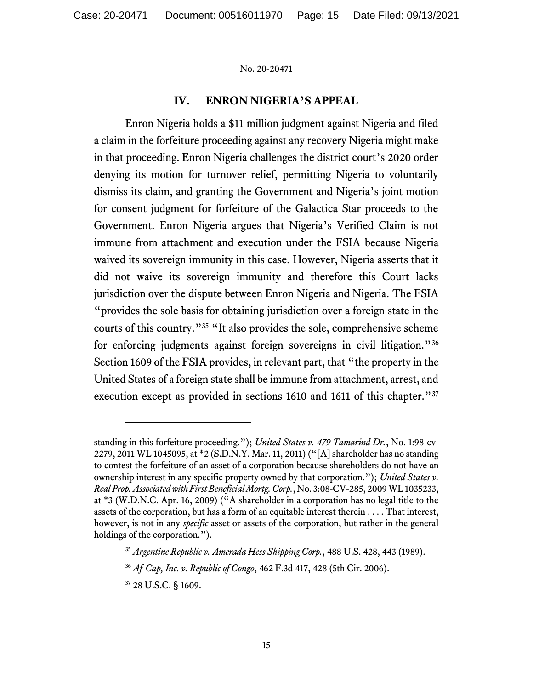### **IV. ENRON NIGERIA'S APPEAL**

Enron Nigeria holds a \$11 million judgment against Nigeria and filed a claim in the forfeiture proceeding against any recovery Nigeria might make in that proceeding. Enron Nigeria challenges the district court's 2020 order denying its motion for turnover relief, permitting Nigeria to voluntarily dismiss its claim, and granting the Government and Nigeria's joint motion for consent judgment for forfeiture of the Galactica Star proceeds to the Government. Enron Nigeria argues that Nigeria's Verified Claim is not immune from attachment and execution under the FSIA because Nigeria waived its sovereign immunity in this case. However, Nigeria asserts that it did not waive its sovereign immunity and therefore this Court lacks jurisdiction over the dispute between Enron Nigeria and Nigeria. The FSIA "provides the sole basis for obtaining jurisdiction over a foreign state in the courts of this country."<sup>35</sup> "It also provides the sole, comprehensive scheme for enforcing judgments against foreign sovereigns in civil litigation."<sup>36</sup> Section 1609 of the FSIA provides, in relevant part, that "the property in the United States of a foreign state shall be immune from attachment, arrest, and execution except as provided in sections 1610 and 1611 of this chapter."<sup>37</sup>

standing in this forfeiture proceeding."); *United States v. 479 Tamarind Dr.*, No. 1:98-cv-2279, 2011 WL 1045095, at \*2 (S.D.N.Y. Mar. 11, 2011) ("[A] shareholder has no standing to contest the forfeiture of an asset of a corporation because shareholders do not have an ownership interest in any specific property owned by that corporation."); *United States v. Real Prop. Associated with First Beneficial Mortg. Corp.*, No. 3:08-CV-285, 2009 WL 1035233, at \*3 (W.D.N.C. Apr. 16, 2009) ("A shareholder in a corporation has no legal title to the assets of the corporation, but has a form of an equitable interest therein . . . . That interest, however, is not in any *specific* asset or assets of the corporation, but rather in the general holdings of the corporation.").

<sup>35</sup> *Argentine Republic v. Amerada Hess Shipping Corp.*, 488 U.S. 428, 443 (1989).

<sup>36</sup> *Af-Cap, Inc. v. Republic of Congo*, 462 F.3d 417, 428 (5th Cir. 2006).

<sup>37</sup> 28 U.S.C. § 1609.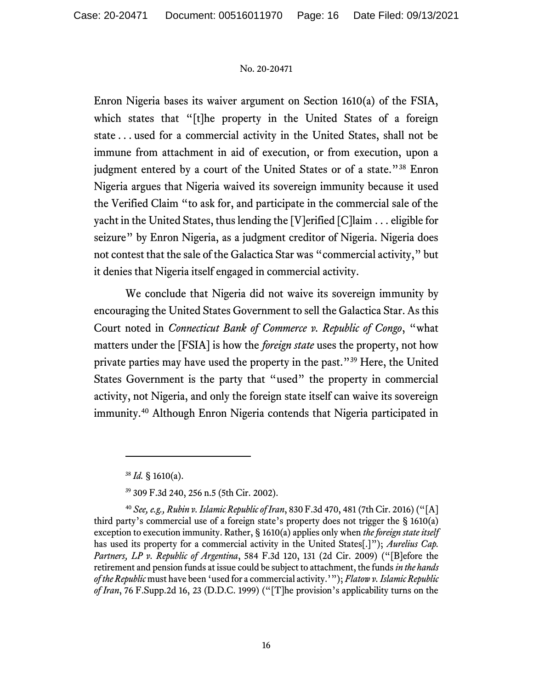Enron Nigeria bases its waiver argument on Section 1610(a) of the FSIA, which states that "[t]he property in the United States of a foreign state . . . used for a commercial activity in the United States, shall not be immune from attachment in aid of execution, or from execution, upon a judgment entered by a court of the United States or of a state."<sup>38</sup> Enron Nigeria argues that Nigeria waived its sovereign immunity because it used the Verified Claim "to ask for, and participate in the commercial sale of the yacht in the United States, thus lending the [V]erified [C]laim . . . eligible for seizure" by Enron Nigeria, as a judgment creditor of Nigeria. Nigeria does not contest that the sale of the Galactica Star was "commercial activity," but it denies that Nigeria itself engaged in commercial activity.

We conclude that Nigeria did not waive its sovereign immunity by encouraging the United States Government to sell the Galactica Star. As this Court noted in *Connecticut Bank of Commerce v. Republic of Congo*, "what matters under the [FSIA] is how the *foreign state* uses the property, not how private parties may have used the property in the past."<sup>39</sup> Here, the United States Government is the party that "used" the property in commercial activity, not Nigeria, and only the foreign state itself can waive its sovereign immunity.<sup>40</sup> Although Enron Nigeria contends that Nigeria participated in

 $38$  *Id.* § 1610(a).

<sup>39</sup> 309 F.3d 240, 256 n.5 (5th Cir. 2002).

<sup>40</sup> *See, e.g., Rubin v. Islamic Republic of Iran*, 830 F.3d 470, 481 (7th Cir. 2016) ("[A] third party's commercial use of a foreign state's property does not trigger the § 1610(a) exception to execution immunity. Rather, § 1610(a) applies only when *the foreign state itself*  has used its property for a commercial activity in the United States[.]"); *Aurelius Cap. Partners, LP v. Republic of Argentina*, 584 F.3d 120, 131 (2d Cir. 2009) ("[B]efore the retirement and pension funds at issue could be subject to attachment, the funds *in the hands of the Republic* must have been 'used for a commercial activity.'"); *Flatow v. Islamic Republic of Iran*, 76 F.Supp.2d 16, 23 (D.D.C. 1999) ("[T]he provision's applicability turns on the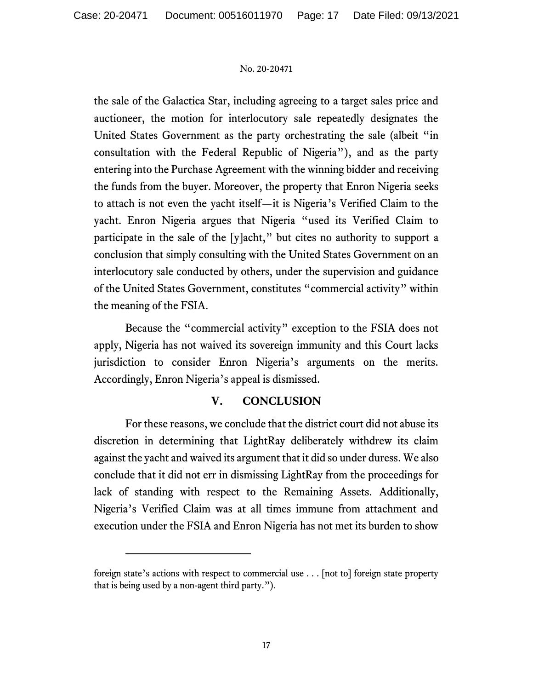the sale of the Galactica Star, including agreeing to a target sales price and auctioneer, the motion for interlocutory sale repeatedly designates the United States Government as the party orchestrating the sale (albeit "in consultation with the Federal Republic of Nigeria"), and as the party entering into the Purchase Agreement with the winning bidder and receiving the funds from the buyer. Moreover, the property that Enron Nigeria seeks to attach is not even the yacht itself—it is Nigeria's Verified Claim to the yacht. Enron Nigeria argues that Nigeria "used its Verified Claim to participate in the sale of the [y]acht," but cites no authority to support a conclusion that simply consulting with the United States Government on an interlocutory sale conducted by others, under the supervision and guidance of the United States Government, constitutes "commercial activity" within the meaning of the FSIA.

Because the "commercial activity" exception to the FSIA does not apply, Nigeria has not waived its sovereign immunity and this Court lacks jurisdiction to consider Enron Nigeria's arguments on the merits. Accordingly, Enron Nigeria's appeal is dismissed.

## **V. CONCLUSION**

For these reasons, we conclude that the district court did not abuse its discretion in determining that LightRay deliberately withdrew its claim against the yacht and waived its argument that it did so under duress. We also conclude that it did not err in dismissing LightRay from the proceedings for lack of standing with respect to the Remaining Assets. Additionally, Nigeria's Verified Claim was at all times immune from attachment and execution under the FSIA and Enron Nigeria has not met its burden to show

foreign state's actions with respect to commercial use . . . [not to] foreign state property that is being used by a non-agent third party.").